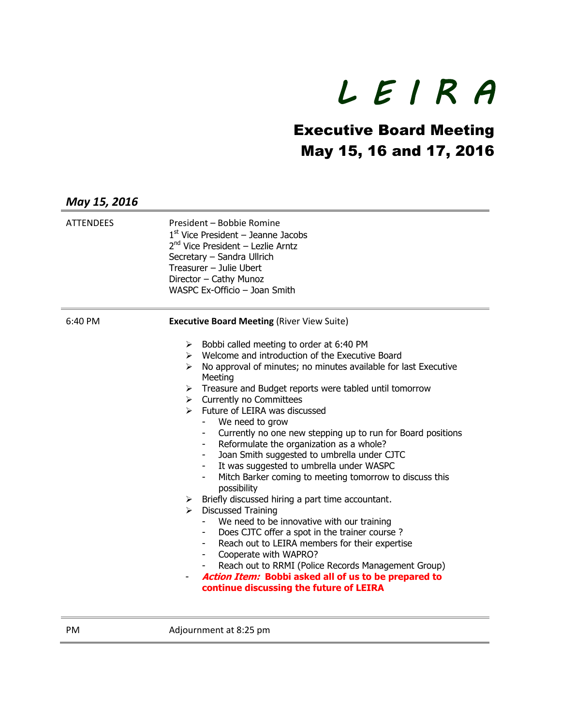## *L E I R A*

## Executive Board Meeting May 15, 16 and 17, 2016

| May 15, 2016     |                                                                                                                                                                                                                                                                                                                                                                                                                                                                                                                                                                                                                                                                                                                                                                                                                                                                                                                                                                                                                                                                                                             |
|------------------|-------------------------------------------------------------------------------------------------------------------------------------------------------------------------------------------------------------------------------------------------------------------------------------------------------------------------------------------------------------------------------------------------------------------------------------------------------------------------------------------------------------------------------------------------------------------------------------------------------------------------------------------------------------------------------------------------------------------------------------------------------------------------------------------------------------------------------------------------------------------------------------------------------------------------------------------------------------------------------------------------------------------------------------------------------------------------------------------------------------|
| <b>ATTENDEES</b> | President - Bobbie Romine<br>$1st$ Vice President – Jeanne Jacobs<br>2 <sup>nd</sup> Vice President - Lezlie Arntz<br>Secretary - Sandra Ullrich<br>Treasurer - Julie Ubert<br>Director - Cathy Munoz<br>WASPC Ex-Officio - Joan Smith                                                                                                                                                                                                                                                                                                                                                                                                                                                                                                                                                                                                                                                                                                                                                                                                                                                                      |
| 6:40 PM          | <b>Executive Board Meeting (River View Suite)</b>                                                                                                                                                                                                                                                                                                                                                                                                                                                                                                                                                                                                                                                                                                                                                                                                                                                                                                                                                                                                                                                           |
|                  | Bobbi called meeting to order at 6:40 PM<br>➤<br>$\triangleright$ Welcome and introduction of the Executive Board<br>No approval of minutes; no minutes available for last Executive<br>➤<br>Meeting<br>Treasure and Budget reports were tabled until tomorrow<br>➤<br>$\triangleright$ Currently no Committees<br>Future of LEIRA was discussed<br>$\blacktriangleright$<br>We need to grow<br>Currently no one new stepping up to run for Board positions<br>Reformulate the organization as a whole?<br>Joan Smith suggested to umbrella under CJTC<br>It was suggested to umbrella under WASPC<br>Mitch Barker coming to meeting tomorrow to discuss this<br>possibility<br>Briefly discussed hiring a part time accountant.<br>➤<br><b>Discussed Training</b><br>➤<br>We need to be innovative with our training<br>Does CJTC offer a spot in the trainer course?<br>Reach out to LEIRA members for their expertise<br>Cooperate with WAPRO?<br>Reach out to RRMI (Police Records Management Group)<br>Action Item: Bobbi asked all of us to be prepared to<br>continue discussing the future of LEIRA |

PM Adjournment at 8:25 pm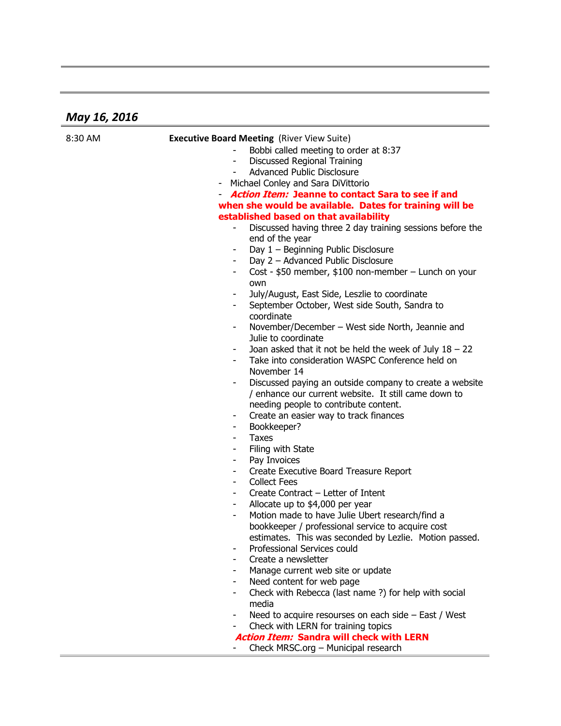## *May 16, 2016*

| 8:30 AM | <b>Executive Board Meeting (River View Suite)</b>                                                                    |
|---------|----------------------------------------------------------------------------------------------------------------------|
|         | Bobbi called meeting to order at 8:37                                                                                |
|         | Discussed Regional Training                                                                                          |
|         | <b>Advanced Public Disclosure</b>                                                                                    |
|         | Michael Conley and Sara DiVittorio                                                                                   |
|         | <b>Action Item: Jeanne to contact Sara to see if and</b>                                                             |
|         | when she would be available. Dates for training will be                                                              |
|         | established based on that availability                                                                               |
|         | Discussed having three 2 day training sessions before the<br>end of the year                                         |
|         | Day 1 - Beginning Public Disclosure<br>-                                                                             |
|         | Day 2 - Advanced Public Disclosure                                                                                   |
|         | Cost - \$50 member, \$100 non-member - Lunch on your<br>own                                                          |
|         | July/August, East Side, Leszlie to coordinate                                                                        |
|         | September October, West side South, Sandra to<br>coordinate                                                          |
|         | November/December - West side North, Jeannie and<br>Julie to coordinate                                              |
|         | Joan asked that it not be held the week of July $18 - 22$                                                            |
|         | Take into consideration WASPC Conference held on                                                                     |
|         | November 14                                                                                                          |
|         | Discussed paying an outside company to create a website<br>-<br>/ enhance our current website. It still came down to |
|         | needing people to contribute content.                                                                                |
|         | Create an easier way to track finances                                                                               |
|         | Bookkeeper?                                                                                                          |
|         | <b>Taxes</b>                                                                                                         |
|         | Filing with State                                                                                                    |
|         | Pay Invoices<br>$\overline{\phantom{0}}$                                                                             |
|         | Create Executive Board Treasure Report                                                                               |
|         | <b>Collect Fees</b>                                                                                                  |
|         | Create Contract – Letter of Intent                                                                                   |
|         | Allocate up to \$4,000 per year<br>-                                                                                 |
|         | Motion made to have Julie Ubert research/find a<br>$\overline{\phantom{0}}$                                          |
|         | bookkeeper / professional service to acquire cost                                                                    |
|         | estimates. This was seconded by Lezlie. Motion passed.                                                               |
|         | Professional Services could                                                                                          |
|         | Create a newsletter                                                                                                  |
|         | Manage current web site or update                                                                                    |
|         | Need content for web page<br>$\overline{\phantom{0}}$                                                                |
|         | Check with Rebecca (last name ?) for help with social<br>$\overline{\phantom{0}}$<br>media                           |
|         | Need to acquire resourses on each side - East / West<br>$\overline{\phantom{0}}$                                     |
|         | Check with LERN for training topics                                                                                  |
|         | <b>Action Item: Sandra will check with LERN</b>                                                                      |
|         | Check MRSC.org - Municipal research                                                                                  |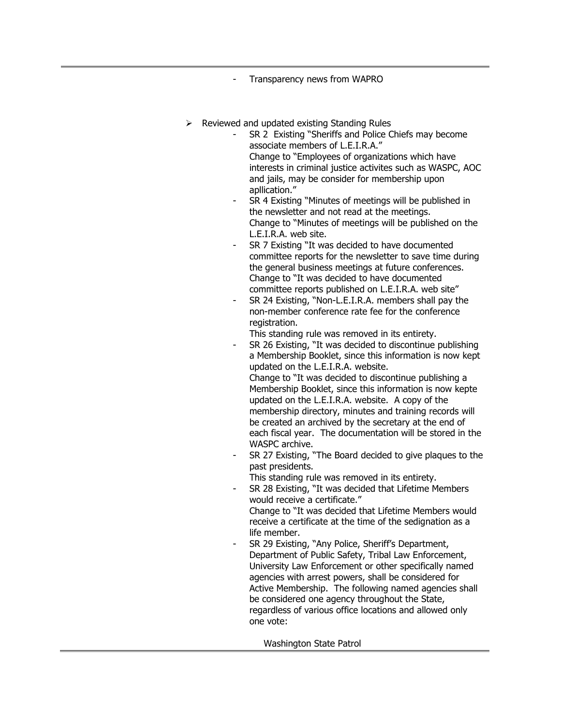- Transparency news from WAPRO

- $\triangleright$  Reviewed and updated existing Standing Rules
	- SR 2 Existing "Sheriffs and Police Chiefs may become associate members of L.E.I.R.A." Change to "Employees of organizations which have interests in criminal justice activites such as WASPC, AOC and jails, may be consider for membership upon apllication."
	- SR 4 Existing "Minutes of meetings will be published in the newsletter and not read at the meetings. Change to "Minutes of meetings will be published on the L.E.I.R.A. web site.
	- SR 7 Existing "It was decided to have documented committee reports for the newsletter to save time during the general business meetings at future conferences. Change to "It was decided to have documented committee reports published on L.E.I.R.A. web site"
	- SR 24 Existing, "Non-L.E.I.R.A. members shall pay the non-member conference rate fee for the conference registration.

This standing rule was removed in its entirety.

SR 26 Existing, "It was decided to discontinue publishing a Membership Booklet, since this information is now kept updated on the L.E.I.R.A. website.

Change to "It was decided to discontinue publishing a Membership Booklet, since this information is now kepte updated on the L.E.I.R.A. website. A copy of the membership directory, minutes and training records will be created an archived by the secretary at the end of each fiscal year. The documentation will be stored in the WASPC archive.

SR 27 Existing, "The Board decided to give plaques to the past presidents.

This standing rule was removed in its entirety.

SR 28 Existing, "It was decided that Lifetime Members would receive a certificate."

Change to "It was decided that Lifetime Members would receive a certificate at the time of the sedignation as a life member.

SR 29 Existing, "Any Police, Sheriff's Department, Department of Public Safety, Tribal Law Enforcement, University Law Enforcement or other specifically named agencies with arrest powers, shall be considered for Active Membership. The following named agencies shall be considered one agency throughout the State, regardless of various office locations and allowed only one vote:

Washington State Patrol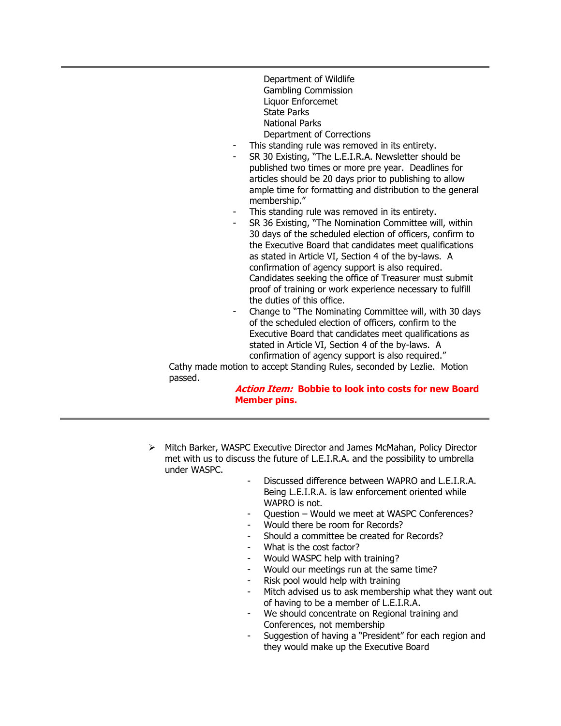- Department of Wildlife Gambling Commission Liquor Enforcemet State Parks National Parks Department of Corrections
- This standing rule was removed in its entirety.
- SR 30 Existing, "The L.E.I.R.A. Newsletter should be published two times or more pre year. Deadlines for articles should be 20 days prior to publishing to allow ample time for formatting and distribution to the general membership."
- This standing rule was removed in its entirety.
- SR 36 Existing, "The Nomination Committee will, within 30 days of the scheduled election of officers, confirm to the Executive Board that candidates meet qualifications as stated in Article VI, Section 4 of the by-laws. A confirmation of agency support is also required. Candidates seeking the office of Treasurer must submit proof of training or work experience necessary to fulfill the duties of this office.
- Change to "The Nominating Committee will, with 30 days of the scheduled election of officers, confirm to the Executive Board that candidates meet qualifications as stated in Article VI, Section 4 of the by-laws. A confirmation of agency support is also required."

Cathy made motion to accept Standing Rules, seconded by Lezlie. Motion passed.

## **Action Item: Bobbie to look into costs for new Board Member pins.**

- Mitch Barker, WASPC Executive Director and James McMahan, Policy Director met with us to discuss the future of L.E.I.R.A. and the possibility to umbrella under WASPC.
	- Discussed difference between WAPRO and L.E.I.R.A. Being L.E.I.R.A. is law enforcement oriented while WAPRO is not.
	- Question Would we meet at WASPC Conferences?
	- Would there be room for Records?
	- Should a committee be created for Records?
	- What is the cost factor?
	- Would WASPC help with training?
	- Would our meetings run at the same time?
	- Risk pool would help with training
	- Mitch advised us to ask membership what they want out of having to be a member of L.E.I.R.A.
	- We should concentrate on Regional training and Conferences, not membership
	- Suggestion of having a "President" for each region and they would make up the Executive Board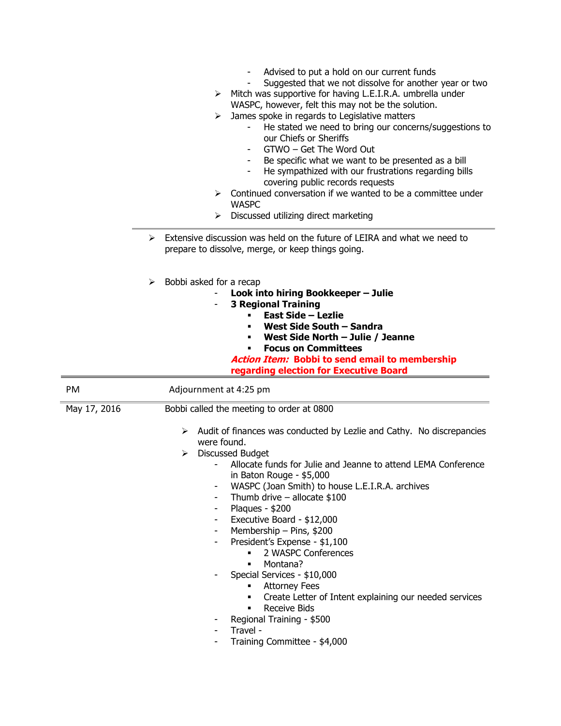|              | Advised to put a hold on our current funds<br>Suggested that we not dissolve for another year or two<br>$\triangleright$ Mitch was supportive for having L.E.I.R.A. umbrella under<br>WASPC, however, felt this may not be the solution.<br>James spoke in regards to Legislative matters<br>➤<br>He stated we need to bring our concerns/suggestions to<br>our Chiefs or Sheriffs<br>GTWO - Get The Word Out<br>Be specific what we want to be presented as a bill<br>He sympathized with our frustrations regarding bills<br>covering public records requests<br>$\triangleright$ Continued conversation if we wanted to be a committee under<br><b>WASPC</b><br>Discussed utilizing direct marketing<br>⋗ |
|--------------|--------------------------------------------------------------------------------------------------------------------------------------------------------------------------------------------------------------------------------------------------------------------------------------------------------------------------------------------------------------------------------------------------------------------------------------------------------------------------------------------------------------------------------------------------------------------------------------------------------------------------------------------------------------------------------------------------------------|
|              | Extensive discussion was held on the future of LEIRA and what we need to<br>➤<br>prepare to dissolve, merge, or keep things going.                                                                                                                                                                                                                                                                                                                                                                                                                                                                                                                                                                           |
|              | Bobbi asked for a recap<br>➤<br>Look into hiring Bookkeeper - Julie<br><b>3 Regional Training</b><br><b>East Side - Lezlie</b><br>West Side South - Sandra<br>West Side North - Julie / Jeanne<br><b>Focus on Committees</b><br><b>Action Item: Bobbi to send email to membership</b><br>regarding election for Executive Board                                                                                                                                                                                                                                                                                                                                                                              |
| PM           | Adjournment at 4:25 pm                                                                                                                                                                                                                                                                                                                                                                                                                                                                                                                                                                                                                                                                                       |
| May 17, 2016 | Bobbi called the meeting to order at 0800                                                                                                                                                                                                                                                                                                                                                                                                                                                                                                                                                                                                                                                                    |
|              | Audit of finances was conducted by Lezlie and Cathy. No discrepancies<br>➤<br>were found.<br>Discussed Budget<br>➤<br>Allocate funds for Julie and Jeanne to attend LEMA Conference<br>in Baton Rouge - \$5,000<br>WASPC (Joan Smith) to house L.E.I.R.A. archives<br>Thumb drive $-$ allocate \$100<br>Plaques - \$200<br>Executive Board - \$12,000<br>Membership - Pins, \$200<br>President's Expense - \$1,100<br>2 WASPC Conferences<br>Montana?<br>п<br>Special Services - \$10,000<br>Attorney Fees<br>Create Letter of Intent explaining our needed services<br>٠<br><b>Receive Bids</b><br>Regional Training - \$500<br>Travel -<br>Training Committee - \$4,000                                    |